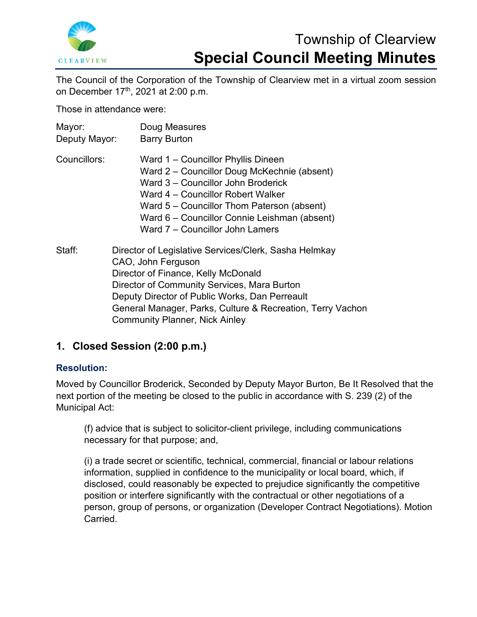

# Township of Clearview **Special Council Meeting Minutes**

The Council of the Corporation of the Township of Clearview met in a virtual zoom session on December  $17<sup>th</sup>$ , 2021 at 2:00 p.m.

Those in attendance were:

| Mayor:<br>Deputy Mayor: | Doug Measures<br><b>Barry Burton</b>                                                                                                                                                                                                                                                                                       |
|-------------------------|----------------------------------------------------------------------------------------------------------------------------------------------------------------------------------------------------------------------------------------------------------------------------------------------------------------------------|
| Councillors:            | Ward 1 - Councillor Phyllis Dineen<br>Ward 2 - Councillor Doug McKechnie (absent)<br>Ward 3 – Councillor John Broderick<br>Ward 4 - Councillor Robert Walker<br>Ward 5 – Councillor Thom Paterson (absent)<br>Ward 6 – Councillor Connie Leishman (absent)<br>Ward 7 – Councillor John Lamers                              |
| Staff:                  | Director of Legislative Services/Clerk, Sasha Helmkay<br>CAO, John Ferguson<br>Director of Finance, Kelly McDonald<br>Director of Community Services, Mara Burton<br>Deputy Director of Public Works, Dan Perreault<br>General Manager, Parks, Culture & Recreation, Terry Vachon<br><b>Community Planner, Nick Ainley</b> |

## **1. Closed Session (2:00 p.m.)**

## **Resolution:**

Moved by Councillor Broderick, Seconded by Deputy Mayor Burton, Be It Resolved that the next portion of the meeting be closed to the public in accordance with S. 239 (2) of the Municipal Act:

(f) advice that is subject to solicitor-client privilege, including communications necessary for that purpose; and,

(i) a trade secret or scientific, technical, commercial, financial or labour relations information, supplied in confidence to the municipality or local board, which, if disclosed, could reasonably be expected to prejudice significantly the competitive position or interfere significantly with the contractual or other negotiations of a person, group of persons, or organization (Developer Contract Negotiations). Motion Carried.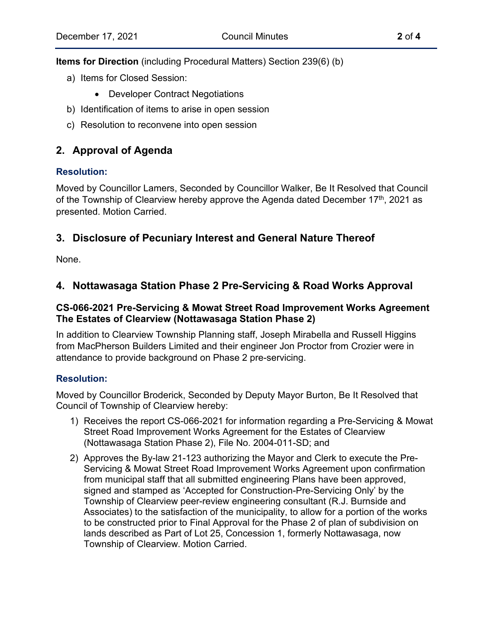#### **Items for Direction** (including Procedural Matters) Section 239(6) (b)

- a) Items for Closed Session:
	- Developer Contract Negotiations
- b) Identification of items to arise in open session
- c) Resolution to reconvene into open session

## **2. Approval of Agenda**

#### **Resolution:**

Moved by Councillor Lamers, Seconded by Councillor Walker, Be It Resolved that Council of the Township of Clearview hereby approve the Agenda dated December 17<sup>th</sup>, 2021 as presented. Motion Carried.

## **3. Disclosure of Pecuniary Interest and General Nature Thereof**

None.

## **4. Nottawasaga Station Phase 2 Pre-Servicing & Road Works Approval**

## **CS-066-2021 Pre-Servicing & Mowat Street Road Improvement Works Agreement The Estates of Clearview (Nottawasaga Station Phase 2)**

In addition to Clearview Township Planning staff, Joseph Mirabella and Russell Higgins from MacPherson Builders Limited and their engineer Jon Proctor from Crozier were in attendance to provide background on Phase 2 pre-servicing.

## **Resolution:**

Moved by Councillor Broderick, Seconded by Deputy Mayor Burton, Be It Resolved that Council of Township of Clearview hereby:

- 1) Receives the report CS-066-2021 for information regarding a Pre-Servicing & Mowat Street Road Improvement Works Agreement for the Estates of Clearview (Nottawasaga Station Phase 2), File No. 2004-011-SD; and
- 2) Approves the By-law 21-123 authorizing the Mayor and Clerk to execute the Pre-Servicing & Mowat Street Road Improvement Works Agreement upon confirmation from municipal staff that all submitted engineering Plans have been approved, signed and stamped as 'Accepted for Construction-Pre-Servicing Only' by the Township of Clearview peer-review engineering consultant (R.J. Burnside and Associates) to the satisfaction of the municipality, to allow for a portion of the works to be constructed prior to Final Approval for the Phase 2 of plan of subdivision on lands described as Part of Lot 25, Concession 1, formerly Nottawasaga, now Township of Clearview. Motion Carried.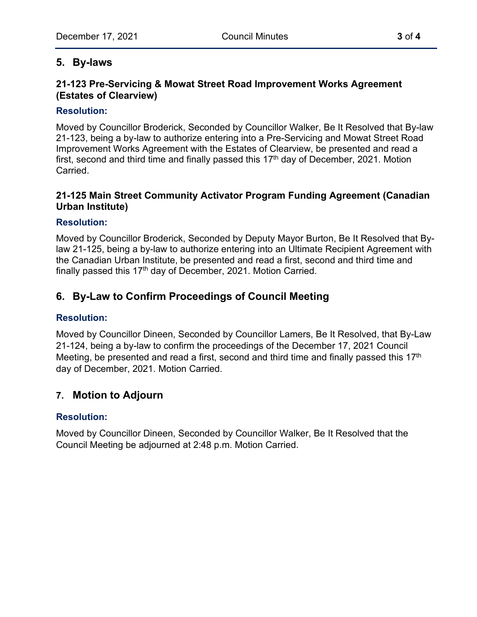## **5. By-laws**

## **21-123 Pre-Servicing & Mowat Street Road Improvement Works Agreement (Estates of Clearview)**

#### **Resolution:**

Moved by Councillor Broderick, Seconded by Councillor Walker, Be It Resolved that By-law 21-123, being a by-law to authorize entering into a Pre-Servicing and Mowat Street Road Improvement Works Agreement with the Estates of Clearview, be presented and read a first, second and third time and finally passed this  $17<sup>th</sup>$  day of December, 2021. Motion Carried.

## **21-125 Main Street Community Activator Program Funding Agreement (Canadian Urban Institute)**

#### **Resolution:**

Moved by Councillor Broderick, Seconded by Deputy Mayor Burton, Be It Resolved that Bylaw 21-125, being a by-law to authorize entering into an Ultimate Recipient Agreement with the Canadian Urban Institute, be presented and read a first, second and third time and finally passed this 17<sup>th</sup> day of December, 2021. Motion Carried.

## **6. By-Law to Confirm Proceedings of Council Meeting**

#### **Resolution:**

Moved by Councillor Dineen, Seconded by Councillor Lamers, Be It Resolved, that By-Law 21-124, being a by-law to confirm the proceedings of the December 17, 2021 Council Meeting, be presented and read a first, second and third time and finally passed this 17<sup>th</sup> day of December, 2021. Motion Carried.

## **7. Motion to Adjourn**

#### **Resolution:**

Moved by Councillor Dineen, Seconded by Councillor Walker, Be It Resolved that the Council Meeting be adjourned at 2:48 p.m. Motion Carried.